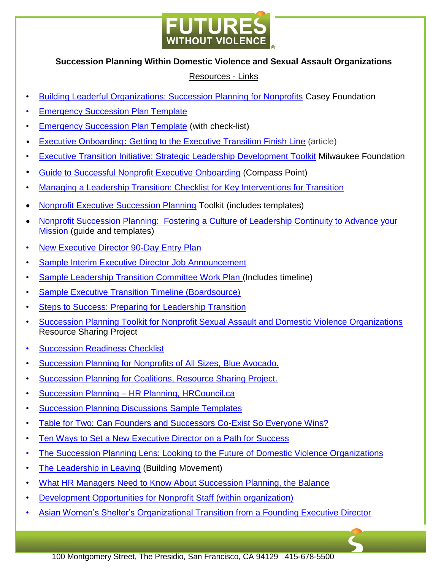

## **Succession Planning Within Domestic Violence and Sexual Assault Organizations**

## Resources - Links

- [Building Leaderful Organizations: Succession Planning for Nonprofits](http://www.aecf.org/m/resourcedoc/AECF-BuildingLeaderfulOrganizations-2008-Full.pdf) Casey Foundation
- **[Emergency Succession Plan Template](https://www.compasspoint.org/sites/default/files/documents/520_emergencysuccessionplanmo.pdf)**
- [Emergency Succession Plan Template](https://www.mtnonprofit.org/uploadedFiles/Files/Org-Dev/Principles_and_Practices/Other_Sample_Docs/Emergency_Succession_Plan_Template.pdf) (with check-list)
- Executive Onboarding**:** [Getting to the Executive Transition Finish Line](http://nonprofitnotes.com/executive-onboarding) (article)
- [Executive Transition Initiative: Strategic Leadership Development Toolkit](http://www.leadingtransitions.com/pdfs/ETIToolkit_4.pdf) Milwaukee Foundation
- [Guide to Successful Nonprofit Executive Onboarding](https://www.hawaiicommunityfoundation.org/file/cat/New-ED-Onboarding-Guide-and-Template.pdf) (Compass Point)
- [Managing a Leadership Transition: Checklist for Key Interventions for Transition](http://hrcouncil.ca/docs/Key_interventions.pdf)
- [Nonprofit Executive Succession Planning](https://www.kansascityfed.org/publicat/community/Nonprofit-Executive-Succession-Planning-Toolkit.pdf) Toolkit (includes templates)
- Nonprofit Succession Planning: Fostering a Culture of Leadership Continuity to Advance your [Mission](https://cnmsocal.org/wp-content/uploads/2014/06/SUCCESSION-Participants-Guide-FINAL-REV-for-501c-2014.pdf) (guide and templates)
- [New Executive Director 90-Day Entry Plan](https://roadmapconsulting.org/resource/new-executive-director-90-day-entry-plan/)
- [Sample Interim Executive Director Job Announcement](https://roadmapconsulting.org/resource/sample-interim-executive-director-job-announcement/)
- [Sample Leadership Transition Committee Work Plan](https://roadmapconsulting.org/resource/sample-leadership-transition-committee-work-plan/) (Includes timeline)
- Sample Executive Transition Timeline (Boardsource)
- [Steps to Success: Preparing for](https://roadmapconsulting.org/resource/steps-to-success-preparing-for-leadership-transition/) Leadership Transition
- [Succession Planning Toolkit for Nonprofit Sexual Assault and Domestic Violence Organizations](http://www.resourcesharingproject.org/sites/resourcesharingproject.org/files/NSTA_Succession_Planning_Toolkit.pdf) Resource Sharing Project
- **[Succession Readiness Checklist](https://www.compasspoint.org/sites/default/files/documents/724_successionreadinesscheckl.pdf)**
- [Succession Planning for Nonprofits of All Sizes, Blue Avocado.](http://www.blueavocado.org/content/succession-planning-nonprofits-all-sizes)
- [Succession Planning for Coalitions, Resource Sharing Project.](http://www.resourcesharingproject.org/succession-planning-coalitions)
- Succession Planning [HR Planning, HRCouncil.ca](http://hrcouncil.ca/hrtoolkit/planning-succession.cfm)
- [Succession Planning Discussions Sample Templates](https://www.inphilanthropy.org/sites/default/files/Contingency%20Planning%20Discussion%20With%20Your%20Board.pdf)
- [Table for Two: Can Founders and Successors Co-Exist So Everyone Wins?](http://leadershipintransition.org/docs/tablefortwo.pdf)
- [Ten Ways to Set a New Executive Director on a Path for Success](https://www.compasspoint.org/board-cafe/getting-new-executive-director-right-start)
- [The Succession Planning Lens: Looking to the Future of Domestic Violence Organizations](https://www.blueshieldcafoundation.org/sites/default/files/publications/downloadable/The%20Succession%20Planning%20Lens.pdf)
- [The Leadership in Leaving](http://www.buildingmovement.org/pdf/Leadership_in_Leaving_FINAL.pdf) (Building Movement)
- [What HR Managers Need to Know About Succession Planning, the Balance](https://www.thebalance.com/succession-planning-1918267)
- [Development Opportunities for Nonprofit Staff \(within organization\)](https://www.bridgespan.org/insights/library/leadership-development/52-free-development-opportunities)
- [Asian Women's Shelter's Organizational Transition from a Founding Executive Director](http://strongfieldproject.org/sites/default/files/null/Moving%20forward%20with%20Integrity%20Asian%20Womens%20Shelters.pdf)